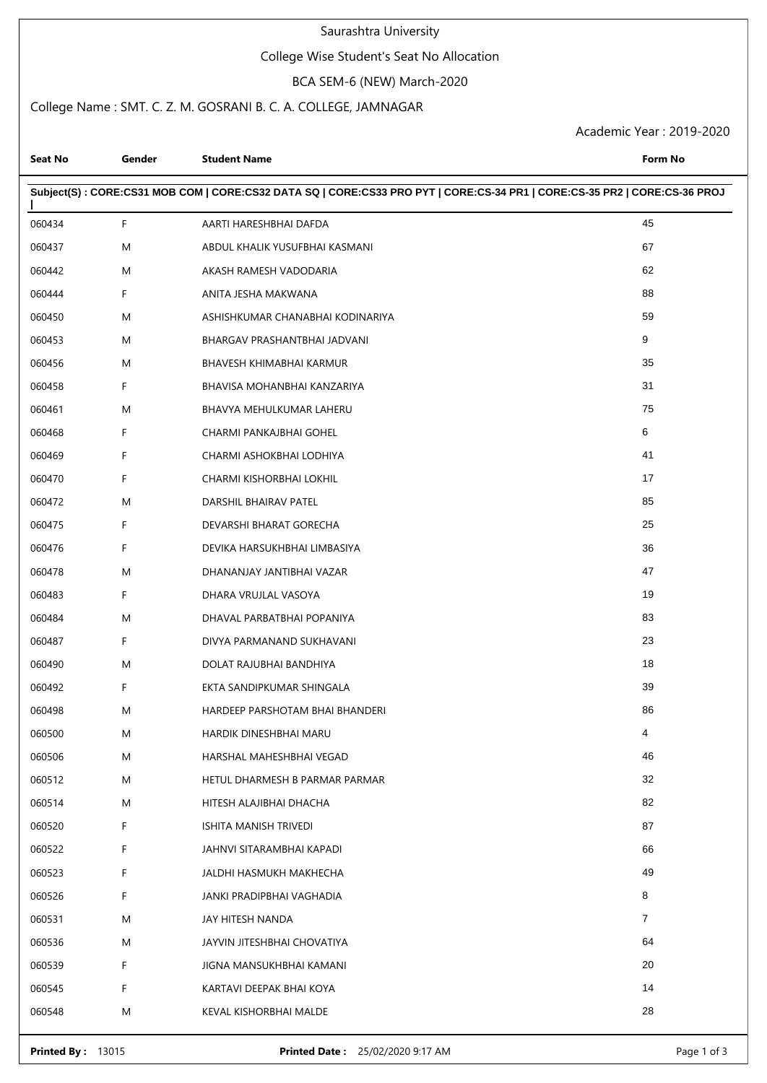### Saurashtra University

### College Wise Student's Seat No Allocation

#### BCA SEM-6 (NEW) March-2020

### College Name : SMT. C. Z. M. GOSRANI B. C. A. COLLEGE, JAMNAGAR

Academic Year : 2019-2020

| Subject(S): CORE:CS31 MOB COM   CORE:CS32 DATA SQ   CORE:CS33 PRO PYT   CORE:CS-34 PR1   CORE:CS-35 PR2   CORE:CS-36 PROJ<br>45<br>060434<br>F.<br>AARTI HARESHBHAI DAFDA<br>67<br>060437<br>M<br>ABDUL KHALIK YUSUFBHAI KASMANI<br>62<br>060442<br>M<br>AKASH RAMESH VADODARIA<br>88<br>060444<br>F.<br>ANITA JESHA MAKWANA<br>59<br>M<br>060450<br>ASHISHKUMAR CHANABHAI KODINARIYA<br>9<br>060453<br>M<br>BHARGAV PRASHANTBHAI JADVANI<br>35<br>060456<br>M<br>BHAVESH KHIMABHAI KARMUR<br>31<br>060458<br>F.<br>BHAVISA MOHANBHAI KANZARIYA<br>75<br>060461<br>M<br>BHAVYA MEHULKUMAR LAHERU<br>F<br>6<br>060468<br>CHARMI PANKAJBHAI GOHEL<br>F<br>41<br>060469<br>CHARMI ASHOKBHAI LODHIYA<br>F<br>17<br>060470<br>CHARMI KISHORBHAI LOKHIL<br>85<br>060472<br>M<br>DARSHIL BHAIRAV PATEL<br>25<br>F<br>060475<br>DEVARSHI BHARAT GORECHA<br>F<br>36<br>060476<br>DEVIKA HARSUKHBHAI LIMBASIYA<br>47<br>060478<br>M<br>DHANANJAY JANTIBHAI VAZAR<br>F<br>19<br>060483<br>DHARA VRUJLAL VASOYA<br>83<br>M<br>DHAVAL PARBATBHAI POPANIYA<br>060484<br>23<br>060487<br>F<br>DIVYA PARMANAND SUKHAVANI<br>18<br>060490<br>M<br>DOLAT RAJUBHAI BANDHIYA<br>39<br>060492<br>F<br>EKTA SANDIPKUMAR SHINGALA<br>86<br>M<br>HARDEEP PARSHOTAM BHAI BHANDERI<br>060498<br>060500<br>M<br>HARDIK DINESHBHAI MARU<br>4<br>46<br>060506<br>M<br>HARSHAL MAHESHBHAI VEGAD<br>32<br>060512<br>M<br>HETUL DHARMESH B PARMAR PARMAR<br>82<br>060514<br>M<br>HITESH ALAJIBHAI DHACHA<br>87<br>060520<br>F.<br>ISHITA MANISH TRIVEDI<br>66<br>060522<br>F.<br>JAHNVI SITARAMBHAI KAPADI<br>49<br>060523<br>F.<br><b>JALDHI HASMUKH MAKHECHA</b><br>8<br>060526<br>F.<br>JANKI PRADIPBHAI VAGHADIA<br>7<br>060531<br>JAY HITESH NANDA<br>M<br>64<br>060536<br>M<br>JAYVIN JITESHBHAI CHOVATIYA<br>20<br>060539<br>F.<br>JIGNA MANSUKHBHAI KAMANI<br>14<br>060545<br>F.<br>KARTAVI DEEPAK BHAI KOYA<br>28<br>060548<br>M<br>KEVAL KISHORBHAI MALDE | <b>Seat No</b> | Gender | <b>Student Name</b> | Form No |  |  |  |  |
|-------------------------------------------------------------------------------------------------------------------------------------------------------------------------------------------------------------------------------------------------------------------------------------------------------------------------------------------------------------------------------------------------------------------------------------------------------------------------------------------------------------------------------------------------------------------------------------------------------------------------------------------------------------------------------------------------------------------------------------------------------------------------------------------------------------------------------------------------------------------------------------------------------------------------------------------------------------------------------------------------------------------------------------------------------------------------------------------------------------------------------------------------------------------------------------------------------------------------------------------------------------------------------------------------------------------------------------------------------------------------------------------------------------------------------------------------------------------------------------------------------------------------------------------------------------------------------------------------------------------------------------------------------------------------------------------------------------------------------------------------------------------------------------------------------------------------------------------------------------------------------------------------------------------------------------|----------------|--------|---------------------|---------|--|--|--|--|
|                                                                                                                                                                                                                                                                                                                                                                                                                                                                                                                                                                                                                                                                                                                                                                                                                                                                                                                                                                                                                                                                                                                                                                                                                                                                                                                                                                                                                                                                                                                                                                                                                                                                                                                                                                                                                                                                                                                                     |                |        |                     |         |  |  |  |  |
|                                                                                                                                                                                                                                                                                                                                                                                                                                                                                                                                                                                                                                                                                                                                                                                                                                                                                                                                                                                                                                                                                                                                                                                                                                                                                                                                                                                                                                                                                                                                                                                                                                                                                                                                                                                                                                                                                                                                     |                |        |                     |         |  |  |  |  |
|                                                                                                                                                                                                                                                                                                                                                                                                                                                                                                                                                                                                                                                                                                                                                                                                                                                                                                                                                                                                                                                                                                                                                                                                                                                                                                                                                                                                                                                                                                                                                                                                                                                                                                                                                                                                                                                                                                                                     |                |        |                     |         |  |  |  |  |
|                                                                                                                                                                                                                                                                                                                                                                                                                                                                                                                                                                                                                                                                                                                                                                                                                                                                                                                                                                                                                                                                                                                                                                                                                                                                                                                                                                                                                                                                                                                                                                                                                                                                                                                                                                                                                                                                                                                                     |                |        |                     |         |  |  |  |  |
|                                                                                                                                                                                                                                                                                                                                                                                                                                                                                                                                                                                                                                                                                                                                                                                                                                                                                                                                                                                                                                                                                                                                                                                                                                                                                                                                                                                                                                                                                                                                                                                                                                                                                                                                                                                                                                                                                                                                     |                |        |                     |         |  |  |  |  |
|                                                                                                                                                                                                                                                                                                                                                                                                                                                                                                                                                                                                                                                                                                                                                                                                                                                                                                                                                                                                                                                                                                                                                                                                                                                                                                                                                                                                                                                                                                                                                                                                                                                                                                                                                                                                                                                                                                                                     |                |        |                     |         |  |  |  |  |
|                                                                                                                                                                                                                                                                                                                                                                                                                                                                                                                                                                                                                                                                                                                                                                                                                                                                                                                                                                                                                                                                                                                                                                                                                                                                                                                                                                                                                                                                                                                                                                                                                                                                                                                                                                                                                                                                                                                                     |                |        |                     |         |  |  |  |  |
|                                                                                                                                                                                                                                                                                                                                                                                                                                                                                                                                                                                                                                                                                                                                                                                                                                                                                                                                                                                                                                                                                                                                                                                                                                                                                                                                                                                                                                                                                                                                                                                                                                                                                                                                                                                                                                                                                                                                     |                |        |                     |         |  |  |  |  |
|                                                                                                                                                                                                                                                                                                                                                                                                                                                                                                                                                                                                                                                                                                                                                                                                                                                                                                                                                                                                                                                                                                                                                                                                                                                                                                                                                                                                                                                                                                                                                                                                                                                                                                                                                                                                                                                                                                                                     |                |        |                     |         |  |  |  |  |
|                                                                                                                                                                                                                                                                                                                                                                                                                                                                                                                                                                                                                                                                                                                                                                                                                                                                                                                                                                                                                                                                                                                                                                                                                                                                                                                                                                                                                                                                                                                                                                                                                                                                                                                                                                                                                                                                                                                                     |                |        |                     |         |  |  |  |  |
|                                                                                                                                                                                                                                                                                                                                                                                                                                                                                                                                                                                                                                                                                                                                                                                                                                                                                                                                                                                                                                                                                                                                                                                                                                                                                                                                                                                                                                                                                                                                                                                                                                                                                                                                                                                                                                                                                                                                     |                |        |                     |         |  |  |  |  |
|                                                                                                                                                                                                                                                                                                                                                                                                                                                                                                                                                                                                                                                                                                                                                                                                                                                                                                                                                                                                                                                                                                                                                                                                                                                                                                                                                                                                                                                                                                                                                                                                                                                                                                                                                                                                                                                                                                                                     |                |        |                     |         |  |  |  |  |
|                                                                                                                                                                                                                                                                                                                                                                                                                                                                                                                                                                                                                                                                                                                                                                                                                                                                                                                                                                                                                                                                                                                                                                                                                                                                                                                                                                                                                                                                                                                                                                                                                                                                                                                                                                                                                                                                                                                                     |                |        |                     |         |  |  |  |  |
|                                                                                                                                                                                                                                                                                                                                                                                                                                                                                                                                                                                                                                                                                                                                                                                                                                                                                                                                                                                                                                                                                                                                                                                                                                                                                                                                                                                                                                                                                                                                                                                                                                                                                                                                                                                                                                                                                                                                     |                |        |                     |         |  |  |  |  |
|                                                                                                                                                                                                                                                                                                                                                                                                                                                                                                                                                                                                                                                                                                                                                                                                                                                                                                                                                                                                                                                                                                                                                                                                                                                                                                                                                                                                                                                                                                                                                                                                                                                                                                                                                                                                                                                                                                                                     |                |        |                     |         |  |  |  |  |
|                                                                                                                                                                                                                                                                                                                                                                                                                                                                                                                                                                                                                                                                                                                                                                                                                                                                                                                                                                                                                                                                                                                                                                                                                                                                                                                                                                                                                                                                                                                                                                                                                                                                                                                                                                                                                                                                                                                                     |                |        |                     |         |  |  |  |  |
|                                                                                                                                                                                                                                                                                                                                                                                                                                                                                                                                                                                                                                                                                                                                                                                                                                                                                                                                                                                                                                                                                                                                                                                                                                                                                                                                                                                                                                                                                                                                                                                                                                                                                                                                                                                                                                                                                                                                     |                |        |                     |         |  |  |  |  |
|                                                                                                                                                                                                                                                                                                                                                                                                                                                                                                                                                                                                                                                                                                                                                                                                                                                                                                                                                                                                                                                                                                                                                                                                                                                                                                                                                                                                                                                                                                                                                                                                                                                                                                                                                                                                                                                                                                                                     |                |        |                     |         |  |  |  |  |
|                                                                                                                                                                                                                                                                                                                                                                                                                                                                                                                                                                                                                                                                                                                                                                                                                                                                                                                                                                                                                                                                                                                                                                                                                                                                                                                                                                                                                                                                                                                                                                                                                                                                                                                                                                                                                                                                                                                                     |                |        |                     |         |  |  |  |  |
|                                                                                                                                                                                                                                                                                                                                                                                                                                                                                                                                                                                                                                                                                                                                                                                                                                                                                                                                                                                                                                                                                                                                                                                                                                                                                                                                                                                                                                                                                                                                                                                                                                                                                                                                                                                                                                                                                                                                     |                |        |                     |         |  |  |  |  |
|                                                                                                                                                                                                                                                                                                                                                                                                                                                                                                                                                                                                                                                                                                                                                                                                                                                                                                                                                                                                                                                                                                                                                                                                                                                                                                                                                                                                                                                                                                                                                                                                                                                                                                                                                                                                                                                                                                                                     |                |        |                     |         |  |  |  |  |
|                                                                                                                                                                                                                                                                                                                                                                                                                                                                                                                                                                                                                                                                                                                                                                                                                                                                                                                                                                                                                                                                                                                                                                                                                                                                                                                                                                                                                                                                                                                                                                                                                                                                                                                                                                                                                                                                                                                                     |                |        |                     |         |  |  |  |  |
|                                                                                                                                                                                                                                                                                                                                                                                                                                                                                                                                                                                                                                                                                                                                                                                                                                                                                                                                                                                                                                                                                                                                                                                                                                                                                                                                                                                                                                                                                                                                                                                                                                                                                                                                                                                                                                                                                                                                     |                |        |                     |         |  |  |  |  |
|                                                                                                                                                                                                                                                                                                                                                                                                                                                                                                                                                                                                                                                                                                                                                                                                                                                                                                                                                                                                                                                                                                                                                                                                                                                                                                                                                                                                                                                                                                                                                                                                                                                                                                                                                                                                                                                                                                                                     |                |        |                     |         |  |  |  |  |
|                                                                                                                                                                                                                                                                                                                                                                                                                                                                                                                                                                                                                                                                                                                                                                                                                                                                                                                                                                                                                                                                                                                                                                                                                                                                                                                                                                                                                                                                                                                                                                                                                                                                                                                                                                                                                                                                                                                                     |                |        |                     |         |  |  |  |  |
|                                                                                                                                                                                                                                                                                                                                                                                                                                                                                                                                                                                                                                                                                                                                                                                                                                                                                                                                                                                                                                                                                                                                                                                                                                                                                                                                                                                                                                                                                                                                                                                                                                                                                                                                                                                                                                                                                                                                     |                |        |                     |         |  |  |  |  |
|                                                                                                                                                                                                                                                                                                                                                                                                                                                                                                                                                                                                                                                                                                                                                                                                                                                                                                                                                                                                                                                                                                                                                                                                                                                                                                                                                                                                                                                                                                                                                                                                                                                                                                                                                                                                                                                                                                                                     |                |        |                     |         |  |  |  |  |
|                                                                                                                                                                                                                                                                                                                                                                                                                                                                                                                                                                                                                                                                                                                                                                                                                                                                                                                                                                                                                                                                                                                                                                                                                                                                                                                                                                                                                                                                                                                                                                                                                                                                                                                                                                                                                                                                                                                                     |                |        |                     |         |  |  |  |  |
|                                                                                                                                                                                                                                                                                                                                                                                                                                                                                                                                                                                                                                                                                                                                                                                                                                                                                                                                                                                                                                                                                                                                                                                                                                                                                                                                                                                                                                                                                                                                                                                                                                                                                                                                                                                                                                                                                                                                     |                |        |                     |         |  |  |  |  |
|                                                                                                                                                                                                                                                                                                                                                                                                                                                                                                                                                                                                                                                                                                                                                                                                                                                                                                                                                                                                                                                                                                                                                                                                                                                                                                                                                                                                                                                                                                                                                                                                                                                                                                                                                                                                                                                                                                                                     |                |        |                     |         |  |  |  |  |
|                                                                                                                                                                                                                                                                                                                                                                                                                                                                                                                                                                                                                                                                                                                                                                                                                                                                                                                                                                                                                                                                                                                                                                                                                                                                                                                                                                                                                                                                                                                                                                                                                                                                                                                                                                                                                                                                                                                                     |                |        |                     |         |  |  |  |  |
|                                                                                                                                                                                                                                                                                                                                                                                                                                                                                                                                                                                                                                                                                                                                                                                                                                                                                                                                                                                                                                                                                                                                                                                                                                                                                                                                                                                                                                                                                                                                                                                                                                                                                                                                                                                                                                                                                                                                     |                |        |                     |         |  |  |  |  |
|                                                                                                                                                                                                                                                                                                                                                                                                                                                                                                                                                                                                                                                                                                                                                                                                                                                                                                                                                                                                                                                                                                                                                                                                                                                                                                                                                                                                                                                                                                                                                                                                                                                                                                                                                                                                                                                                                                                                     |                |        |                     |         |  |  |  |  |
|                                                                                                                                                                                                                                                                                                                                                                                                                                                                                                                                                                                                                                                                                                                                                                                                                                                                                                                                                                                                                                                                                                                                                                                                                                                                                                                                                                                                                                                                                                                                                                                                                                                                                                                                                                                                                                                                                                                                     |                |        |                     |         |  |  |  |  |
|                                                                                                                                                                                                                                                                                                                                                                                                                                                                                                                                                                                                                                                                                                                                                                                                                                                                                                                                                                                                                                                                                                                                                                                                                                                                                                                                                                                                                                                                                                                                                                                                                                                                                                                                                                                                                                                                                                                                     |                |        |                     |         |  |  |  |  |
|                                                                                                                                                                                                                                                                                                                                                                                                                                                                                                                                                                                                                                                                                                                                                                                                                                                                                                                                                                                                                                                                                                                                                                                                                                                                                                                                                                                                                                                                                                                                                                                                                                                                                                                                                                                                                                                                                                                                     |                |        |                     |         |  |  |  |  |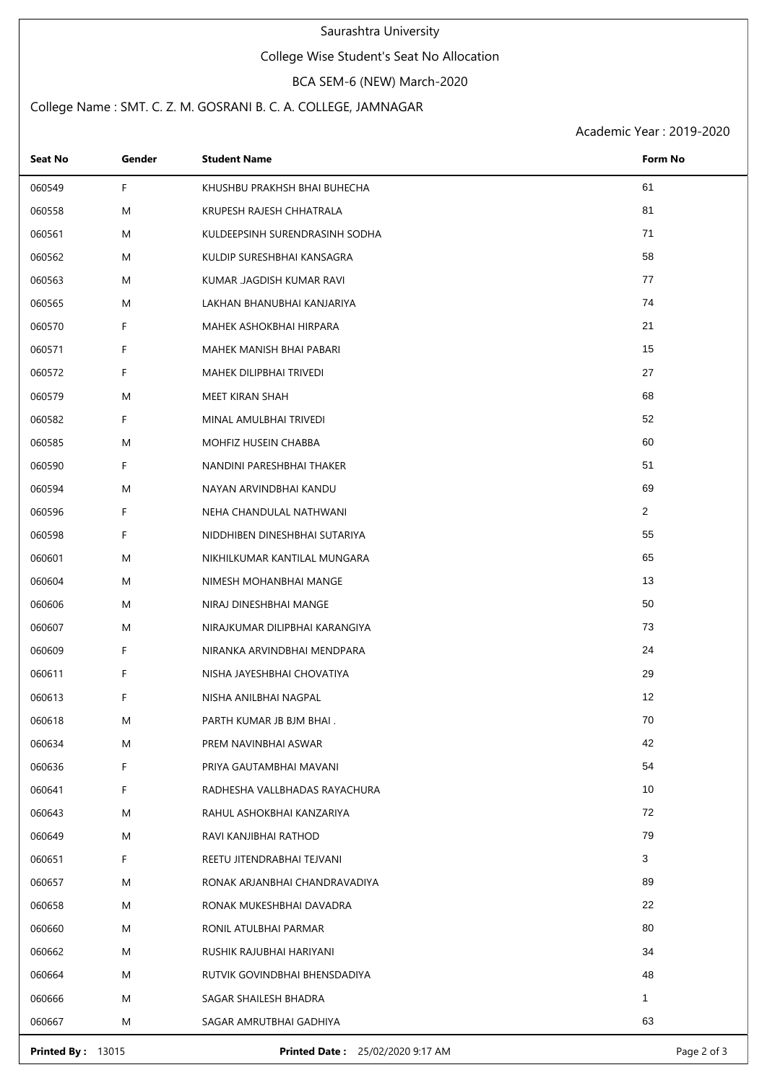#### Saurashtra University

### College Wise Student's Seat No Allocation

#### BCA SEM-6 (NEW) March-2020

## College Name : SMT. C. Z. M. GOSRANI B. C. A. COLLEGE, JAMNAGAR

Academic Year : 2019-2020

| Seat No<br>Gender | <b>Student Name</b>            | Form No        |
|-------------------|--------------------------------|----------------|
| F.<br>060549      | KHUSHBU PRAKHSH BHAI BUHECHA   | 61             |
| 060558<br>M       | KRUPESH RAJESH CHHATRALA       | 81             |
| 060561<br>M       | KULDEEPSINH SURENDRASINH SODHA | 71             |
| 060562<br>M       | KULDIP SURESHBHAI KANSAGRA     | 58             |
| 060563<br>M       | KUMAR JAGDISH KUMAR RAVI       | 77             |
| 060565<br>M       | LAKHAN BHANUBHAI KANJARIYA     | 74             |
| 060570<br>F.      | MAHEK ASHOKBHAI HIRPARA        | 21             |
| F<br>060571       | MAHEK MANISH BHAI PABARI       | 15             |
| 060572<br>F.      | MAHEK DILIPBHAI TRIVEDI        | 27             |
| 060579<br>M       | MEET KIRAN SHAH                | 68             |
| 060582<br>F.      | MINAL AMULBHAI TRIVEDI         | 52             |
| 060585<br>M       | MOHFIZ HUSEIN CHABBA           | 60             |
| 060590<br>F.      | NANDINI PARESHBHAI THAKER      | 51             |
| 060594<br>M       | NAYAN ARVINDBHAI KANDU         | 69             |
| 060596<br>F.      | NEHA CHANDULAL NATHWANI        | $\overline{2}$ |
| F<br>060598       | NIDDHIBEN DINESHBHAI SUTARIYA  | 55             |
| 060601<br>M       | NIKHILKUMAR KANTILAL MUNGARA   | 65             |
| 060604<br>M       | NIMESH MOHANBHAI MANGE         | 13             |
| 060606<br>M       | NIRAJ DINESHBHAI MANGE         | 50             |
| 060607<br>M       | NIRAJKUMAR DILIPBHAI KARANGIYA | 73             |
| F.<br>060609      | NIRANKA ARVINDBHAI MENDPARA    | 24             |
| F.<br>060611      | NISHA JAYESHBHAI CHOVATIYA     | 29             |
| F<br>060613       | NISHA ANILBHAI NAGPAL          | 12             |
| 060618<br>M       | PARTH KUMAR JB BJM BHAI.       | 70             |
| 060634<br>M       | PREM NAVINBHAI ASWAR           | 42             |
| F<br>060636       | PRIYA GAUTAMBHAI MAVANI        | 54             |
| F<br>060641       | RADHESHA VALLBHADAS RAYACHURA  | 10             |
| M<br>060643       | RAHUL ASHOKBHAI KANZARIYA      | 72             |
| 060649<br>M       | RAVI KANJIBHAI RATHOD          | 79             |
| F.<br>060651      | REETU JITENDRABHAI TEJVANI     | 3              |
| 060657<br>M       | RONAK ARJANBHAI CHANDRAVADIYA  | 89             |
| M<br>060658       | RONAK MUKESHBHAI DAVADRA       | 22             |
| 060660<br>M       | RONIL ATULBHAI PARMAR          | 80             |
| M<br>060662       | RUSHIK RAJUBHAI HARIYANI       | 34             |
| 060664<br>M       | RUTVIK GOVINDBHAI BHENSDADIYA  | 48             |
| M<br>060666       | SAGAR SHAILESH BHADRA          | $\mathbf{1}$   |
| 060667<br>M       | SAGAR AMRUTBHAI GADHIYA        | 63             |

**Printed By :** 13015 **Printed Date :** 25/02/2020 9:17 AM **Page 2 of 3** Page 2 of 3